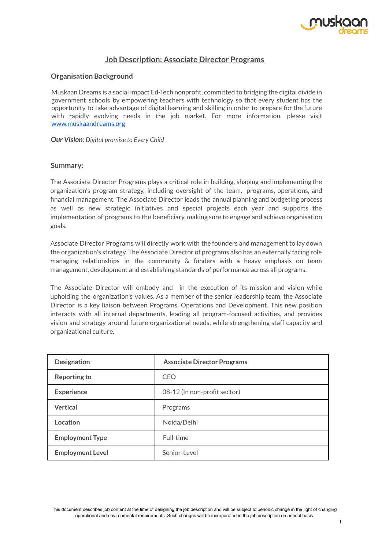

# **Job Description: Associate Director Programs**

### **Organisation Background**

Muskaan Dreams is a social impact Ed-Tech nonprofit, committed to bridging the digital divide in government schools by empowering teachers with technology so that every student has the opportunity to take advantage of digital learning and skilling in order to prepare for the future with rapidly evolving needs in the job market. For more information, please visit [www.muskaandreams.org](http://www.muskaandreams.org)

*Our Vision: Digital promise to Every Child*

#### **Summary:**

The Associate Director Programs plays a critical role in building, shaping and implementing the organization's program strategy, including oversight of the team, programs, operations, and financial management. The Associate Director leads the annual planning and budgeting process as well as new strategic initiatives and special projects each year and supports the implementation of programs to the beneficiary, making sure to engage and achieve organisation goals.

Associate Director Programs will directly work with the founders and management to lay down the organization's strategy. The Associate Director of programs also has an externally facing role managing relationships in the community & funders with a heavy emphasis on team management, development and establishing standards of performance across all programs.

The Associate Director will embody and in the execution of its mission and vision while upholding the organization's values. As a member of the senior leadership team, the Associate Director is a key liaison between Programs, Operations and Development. This new position interacts with all internal departments, leading all program-focused activities, and provides vision and strategy around future organizational needs, while strengthening staff capacity and organizational culture.

| <b>Designation</b>      | <b>Associate Director Programs</b> |
|-------------------------|------------------------------------|
| <b>Reporting to</b>     | CFO                                |
| <b>Experience</b>       | 08-12 (In non-profit sector)       |
| <b>Vertical</b>         | Programs                           |
| Location                | Noida/Delhi                        |
| <b>Employment Type</b>  | Full-time                          |
| <b>Employment Level</b> | Senior-Level                       |

This document describes job content at the time of designing the job description and will be subject to periodic change in the light of changing operational and environmental requirements. Such changes will be incorporated in the job description on annual basis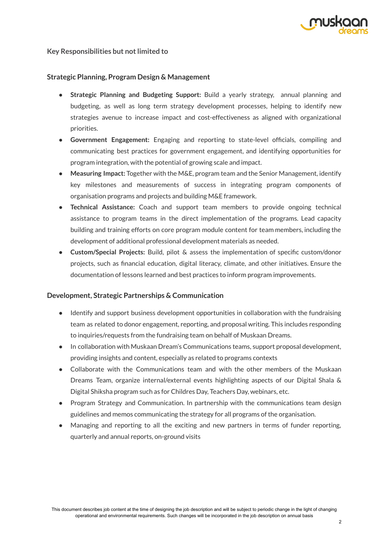

### **Key** Responsibilities but not limited to

### **Strategic Planning, Program Design & Management**

- **Strategic Planning and Budgeting Support:** Build a yearly strategy, annual planning and budgeting, as well as long term strategy development processes, helping to identify new strategies avenue to increase impact and cost-effectiveness as aligned with organizational priorities.
- **Government Engagement:** Engaging and reporting to state-level officials, compiling and communicating best practices for government engagement, and identifying opportunities for program integration, with the potential of growing scale and impact.
- **Measuring Impact:** Together with the M&E, program team and the Senior Management, identify key milestones and measurements of success in integrating program components of organisation programs and projects and building M&E framework.
- **Technical Assistance:** Coach and support team members to provide ongoing technical assistance to program teams in the direct implementation of the programs. Lead capacity building and training efforts on core program module content for team members, including the development of additional professional development materials as needed.
- **Custom/Special Projects:** Build, pilot & assess the implementation of specific custom/donor projects, such as financial education, digital literacy, climate, and other initiatives. Ensure the documentation of lessons learned and best practices to inform program improvements.

### **Development, Strategic Partnerships & Communication**

- Identify and support business development opportunities in collaboration with the fundraising team as related to donor engagement, reporting, and proposal writing. This includes responding to inquiries/requests from the fundraising team on behalf of Muskaan Dreams.
- In collaboration with Muskaan Dream's Communications teams, support proposal development, providing insights and content, especially as related to programs contexts
- Collaborate with the Communications team and with the other members of the Muskaan Dreams Team, organize internal/external events highlighting aspects of our Digital Shala & Digital Shiksha program such as for Childres Day, Teachers Day, webinars, etc.
- Program Strategy and Communication. In partnership with the communications team design guidelines and memos communicating the strategy for all programs of the organisation.
- Managing and reporting to all the exciting and new partners in terms of funder reporting, quarterly and annual reports, on-ground visits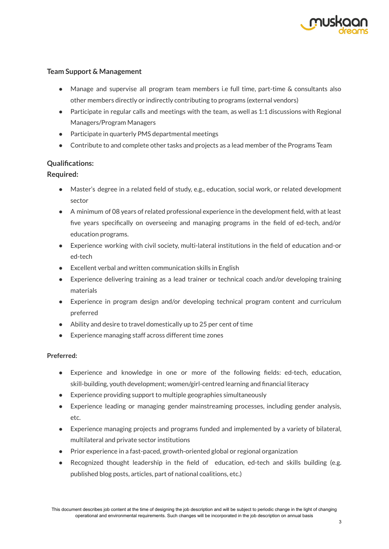

# **Team Support & Management**

- Manage and supervise all program team members i.e full time, part-time & consultants also other members directly or indirectly contributing to programs (external vendors)
- $\bullet$  Participate in regular calls and meetings with the team, as well as 1:1 discussions with Regional Managers/Program Managers
- Participate in quarterly PMS departmental meetings
- Contribute to and complete other tasks and projects as a lead member of the Programs Team

# **Qualifications:**

### **Required:**

- Master's degree in a related field of study, e.g., education, social work, or related development sector
- A minimum of 08 years of related professional experience in the development field, with at least five years specifically on overseeing and managing programs in the field of ed-tech, and/or education programs.
- Experience working with civil society, multi-lateral institutions in the field of education and-or ed-tech
- Excellent verbal and written communication skills in English
- Experience delivering training as a lead trainer or technical coach and/or developing training materials
- Experience in program design and/or developing technical program content and curriculum preferred
- Ability and desire to travel domestically up to 25 per cent of time
- Experience managing staff across different time zones

### **Preferred:**

- Experience and knowledge in one or more of the following fields: ed-tech, education, skill-building, youth development; women/girl-centred learning and financial literacy
- Experience providing support to multiple geographies simultaneously
- Experience leading or managing gender mainstreaming processes, including gender analysis, etc.
- Experience managing projects and programs funded and implemented by a variety of bilateral, multilateral and private sector institutions
- Prior experience in a fast-paced, growth-oriented global or regional organization
- Recognized thought leadership in the field of education, ed-tech and skills building (e.g. published blog posts, articles, part of national coalitions, etc.)